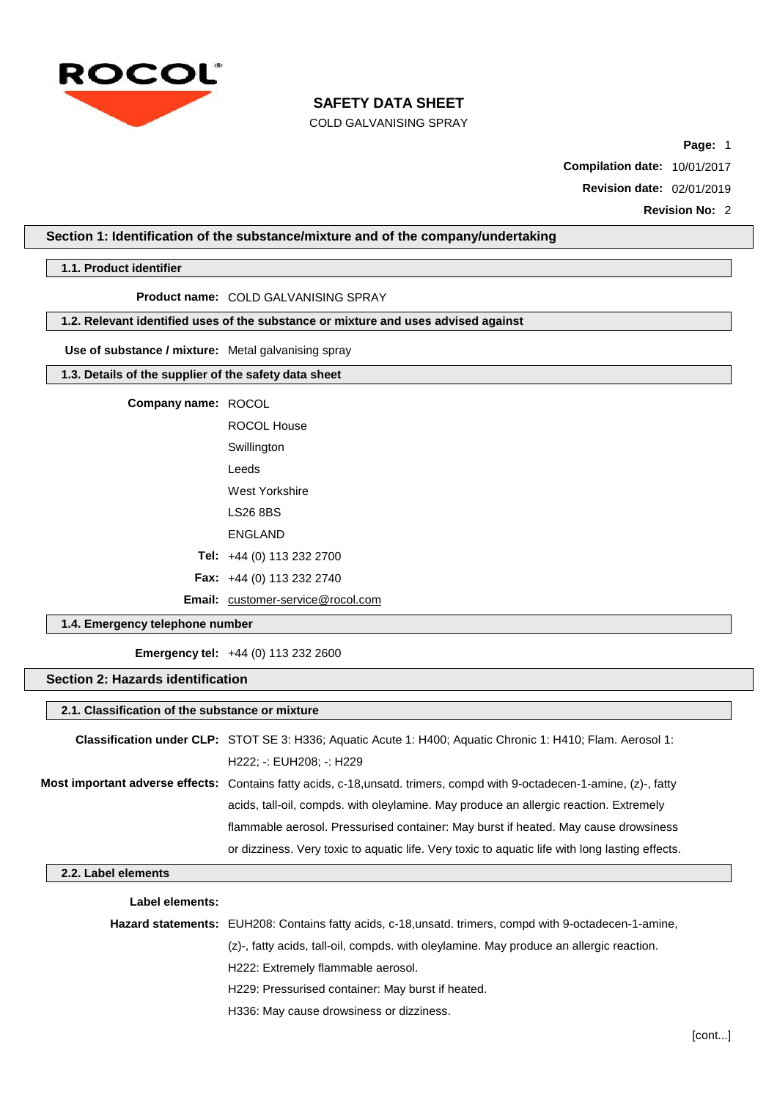

COLD GALVANISING SPRAY

**Page:** 1

**Compilation date:** 10/01/2017

**Revision date:** 02/01/2019

**Revision No:** 2

## **Section 1: Identification of the substance/mixture and of the company/undertaking**

**1.1. Product identifier**

**Product name:** COLD GALVANISING SPRAY

# **1.2. Relevant identified uses of the substance or mixture and uses advised against**

**Use of substance / mixture:** Metal galvanising spray

## **1.3. Details of the supplier of the safety data sheet**

**Company name:** ROCOL

ROCOL House **Swillington** Leeds West Yorkshire LS26 8BS ENGLAND **Tel:** +44 (0) 113 232 2700 **Fax:** +44 (0) 113 232 2740

Email: [customer-service@rocol.com](mailto:customer-service@rocol.com)

## **1.4. Emergency telephone number**

**Emergency tel:** +44 (0) 113 232 2600

## **Section 2: Hazards identification**

## **2.1. Classification of the substance or mixture**

| Classification under CLP: STOT SE 3: H336; Aquatic Acute 1: H400; Aquatic Chronic 1: H410; Flam. Aerosol 1:             |
|-------------------------------------------------------------------------------------------------------------------------|
| H222: -: EUH208: -: H229                                                                                                |
| Most important adverse effects: Contains fatty acids, c-18,unsatd. trimers, compd with 9-octadecen-1-amine, (z)-, fatty |
| acids, tall-oil, compds, with oleylamine. May produce an allergic reaction. Extremely                                   |
| flammable aerosol. Pressurised container: May burst if heated. May cause drowsiness                                     |
| or dizziness. Very toxic to aquatic life. Very toxic to aquatic life with long lasting effects.                         |

## **2.2. Label elements**

#### **Label elements:**

| <b>Hazard statements:</b> EUH208: Contains fatty acids, c-18,unsatd. trimers, compd with 9-octadecen-1-amine, |
|---------------------------------------------------------------------------------------------------------------|
| (z)-, fatty acids, tall-oil, compds, with oleylamine. May produce an allergic reaction.                       |
| H222: Extremely flammable aerosol.                                                                            |
| H229: Pressurised container: May burst if heated.                                                             |
| H336: May cause drowsiness or dizziness.                                                                      |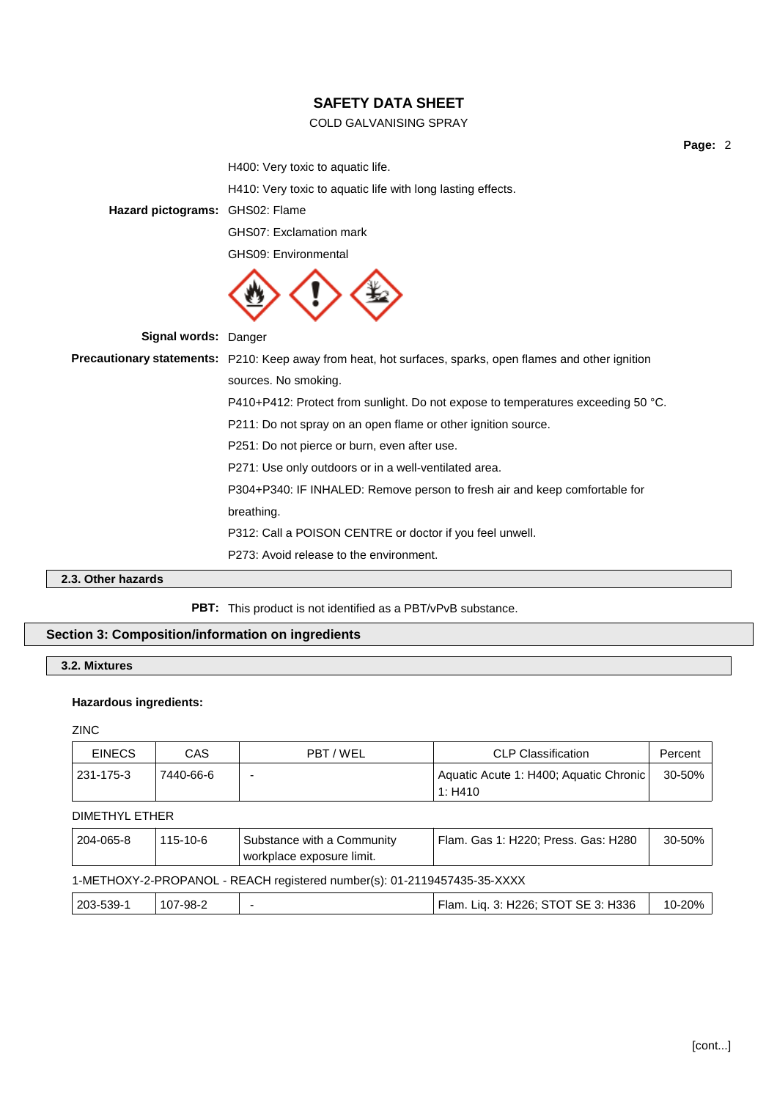# COLD GALVANISING SPRAY

**Page:** 2

H400: Very toxic to aquatic life.

H410: Very toxic to aquatic life with long lasting effects.

**Hazard pictograms:** GHS02: Flame

GHS07: Exclamation mark

GHS09: Environmental



|  | Signal words: Danger |                                                                                                                  |
|--|----------------------|------------------------------------------------------------------------------------------------------------------|
|  |                      | <b>Precautionary statements:</b> P210: Keep away from heat, hot surfaces, sparks, open flames and other ignition |
|  |                      | sources. No smoking.                                                                                             |
|  |                      | P410+P412: Protect from sunlight. Do not expose to temperatures exceeding 50 °C.                                 |
|  |                      | P211: Do not spray on an open flame or other ignition source.                                                    |
|  |                      | P251: Do not pierce or burn, even after use.                                                                     |
|  |                      | P271: Use only outdoors or in a well-ventilated area.                                                            |
|  |                      | P304+P340: IF INHALED: Remove person to fresh air and keep comfortable for                                       |
|  |                      | breathing.                                                                                                       |
|  |                      | P312: Call a POISON CENTRE or doctor if you feel unwell.                                                         |
|  |                      | P273: Avoid release to the environment.                                                                          |
|  |                      |                                                                                                                  |

# **2.3. Other hazards**

# **PBT:** This product is not identified as a PBT/vPvB substance.

# **Section 3: Composition/information on ingredients**

# **3.2. Mixtures**

### **Hazardous ingredients:**

ZINC

| <b>EINECS</b> | CAS       | PBT / WEL                                                            | <b>CLP Classification</b> | Percent |
|---------------|-----------|----------------------------------------------------------------------|---------------------------|---------|
| 231-175-3     | 7440-66-6 | Aquatic Acute 1: H400; Aquatic Chronic  <br>$\overline{\phantom{0}}$ |                           | 30-50%  |
|               |           |                                                                      | 1: H410                   |         |

# DIMETHYL ETHER

| 204-065-8 | 115-10-6 | Substance with a Community<br>workplace exposure limit. | Flam. Gas 1: H220: Press. Gas: H280 | 30-50% |
|-----------|----------|---------------------------------------------------------|-------------------------------------|--------|
|-----------|----------|---------------------------------------------------------|-------------------------------------|--------|

# 1-METHOXY-2-PROPANOL - REACH registered number(s): 01-2119457435-35-XXXX

| 203-539-1 | 107-98-2 |  | Flam. Liq. 3: H226; STOT SE 3: H336 | 10-20% |
|-----------|----------|--|-------------------------------------|--------|
|-----------|----------|--|-------------------------------------|--------|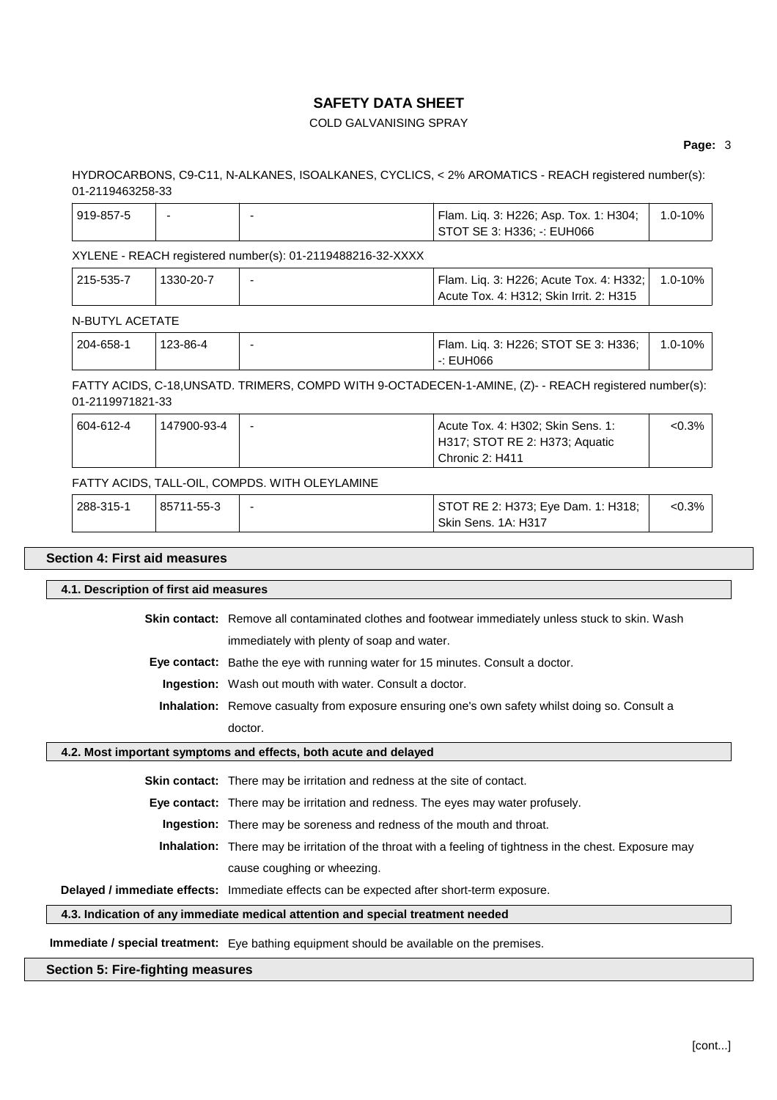# COLD GALVANISING SPRAY

### **Page:** 3

## HYDROCARBONS, C9-C11, N-ALKANES, ISOALKANES, CYCLICS, < 2% AROMATICS - REACH registered number(s): 01-2119463258-33

| 919-857-5 |  | 「Flam. Liq. 3: H226; Asp. Tox. 1: H304; │ | $1.0 - 10\%$ |
|-----------|--|-------------------------------------------|--------------|
|           |  | STOT SE 3: H336: -: EUH066                |              |

### XYLENE - REACH registered number(s): 01-2119488216-32-XXXX

| $ 215 - 535 - 7 $ | 1330-20-7 | Flam. Liq. 3: H226; Acute Tox. 4: H332; 1.0-10% |  |
|-------------------|-----------|-------------------------------------------------|--|
|                   |           | Acute Tox. 4: H312; Skin Irrit. 2: H315         |  |

### N-BUTYL ACETATE

| 204-658-1 | 123-86-4 | Flam. Liq. 3: H226; STOT SE 3: H336; | $\frac{1}{2}$ 1.0-10% |
|-----------|----------|--------------------------------------|-----------------------|
|           |          | $\cdot$ : EUH066                     |                       |

FATTY ACIDS, C-18,UNSATD. TRIMERS, COMPD WITH 9-OCTADECEN-1-AMINE, (Z)- - REACH registered number(s): 01-2119971821-33

| 604-612-4 | 147900-93-4 | Acute Tox. 4: H302; Skin Sens. 1: | $< 0.3\%$ |
|-----------|-------------|-----------------------------------|-----------|
|           |             | H317; STOT RE 2: H373; Aquatic    |           |
|           |             | Chronic 2: H411                   |           |

# FATTY ACIDS, TALL-OIL, COMPDS. WITH OLEYLAMINE

| 288-315-1 | 85711-55-3 | STOT RE 2: H373; Eye Dam. 1: H318; | $<0.3\%$ |
|-----------|------------|------------------------------------|----------|
|           |            | Skin Sens, 1A: H317                |          |

### **Section 4: First aid measures**

# **4.1. Description of first aid measures**

**Skin contact:** Remove all contaminated clothes and footwear immediately unless stuck to skin. Wash immediately with plenty of soap and water.

**Eye contact:** Bathe the eye with running water for 15 minutes. Consult a doctor.

**Ingestion:** Wash out mouth with water. Consult a doctor.

**Inhalation:** Remove casualty from exposure ensuring one's own safety whilst doing so. Consult a doctor.

### **4.2. Most important symptoms and effects, both acute and delayed**

**Skin contact:** There may be irritation and redness at the site of contact.

**Eye contact:** There may be irritation and redness. The eyes may water profusely.

**Ingestion:** There may be soreness and redness of the mouth and throat.

**Inhalation:** There may be irritation of the throat with a feeling of tightness in the chest. Exposure may

cause coughing or wheezing.

# **Delayed / immediate effects:** Immediate effects can be expected after short-term exposure.

# **4.3. Indication of any immediate medical attention and special treatment needed**

**Immediate / special treatment:** Eye bathing equipment should be available on the premises.

# **Section 5: Fire-fighting measures**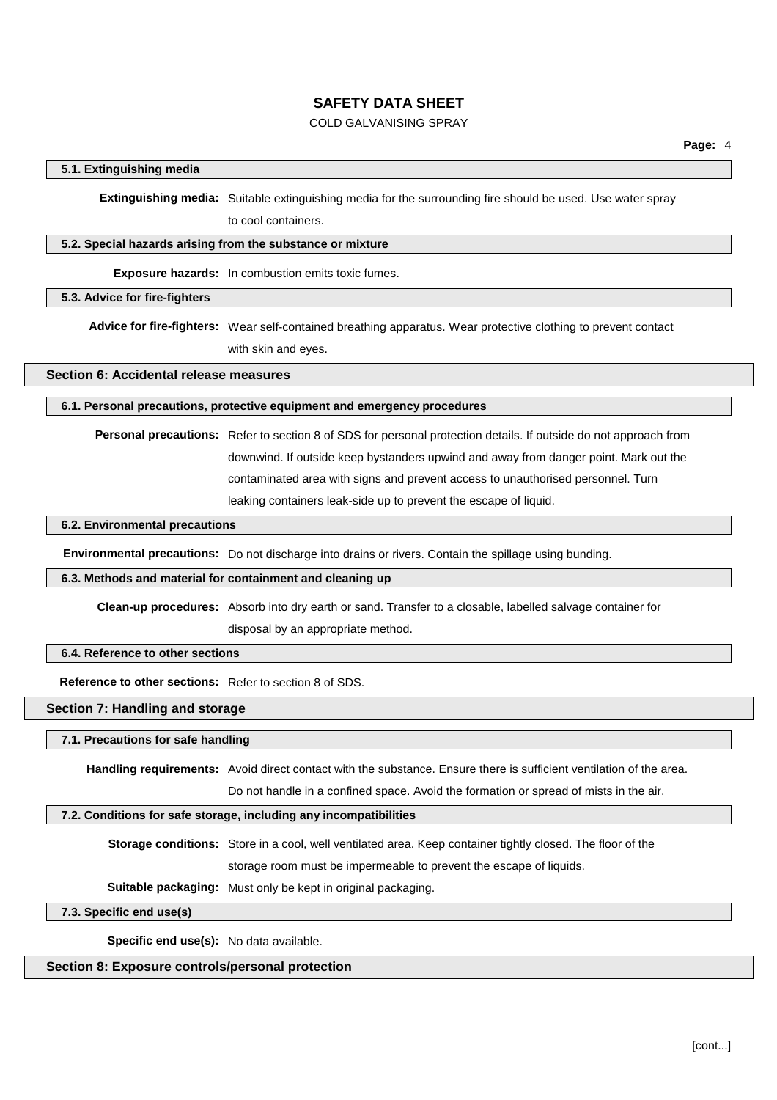### COLD GALVANISING SPRAY

## **5.1. Extinguishing media**

**Extinguishing media:** Suitable extinguishing media for the surrounding fire should be used. Use water spray to cool containers.

#### **5.2. Special hazards arising from the substance or mixture**

**Exposure hazards:** In combustion emits toxic fumes.

### **5.3. Advice for fire-fighters**

**Advice for fire-fighters:** Wear self-contained breathing apparatus. Wear protective clothing to prevent contact with skin and eyes.

**Section 6: Accidental release measures**

#### **6.1. Personal precautions, protective equipment and emergency procedures**

**Personal precautions:** Refer to section 8 of SDS for personal protection details. If outside do not approach from downwind. If outside keep bystanders upwind and away from danger point. Mark out the contaminated area with signs and prevent access to unauthorised personnel. Turn leaking containers leak-side up to prevent the escape of liquid.

# **6.2. Environmental precautions**

**Environmental precautions:** Do not discharge into drains or rivers. Contain the spillage using bunding.

## **6.3. Methods and material for containment and cleaning up**

**Clean-up procedures:** Absorb into dry earth or sand. Transfer to a closable, labelled salvage container for disposal by an appropriate method.

## **6.4. Reference to other sections**

**Reference to other sections:** Refer to section 8 of SDS.

### **Section 7: Handling and storage**

#### **7.1. Precautions for safe handling**

**Handling requirements:** Avoid direct contact with the substance. Ensure there is sufficient ventilation of the area.

Do not handle in a confined space. Avoid the formation or spread of mists in the air.

### **7.2. Conditions for safe storage, including any incompatibilities**

**Storage conditions:** Store in a cool, well ventilated area. Keep container tightly closed. The floor of the storage room must be impermeable to prevent the escape of liquids.

**Suitable packaging:** Must only be kept in original packaging.

**7.3. Specific end use(s)**

**Specific end use(s):** No data available.

# **Section 8: Exposure controls/personal protection**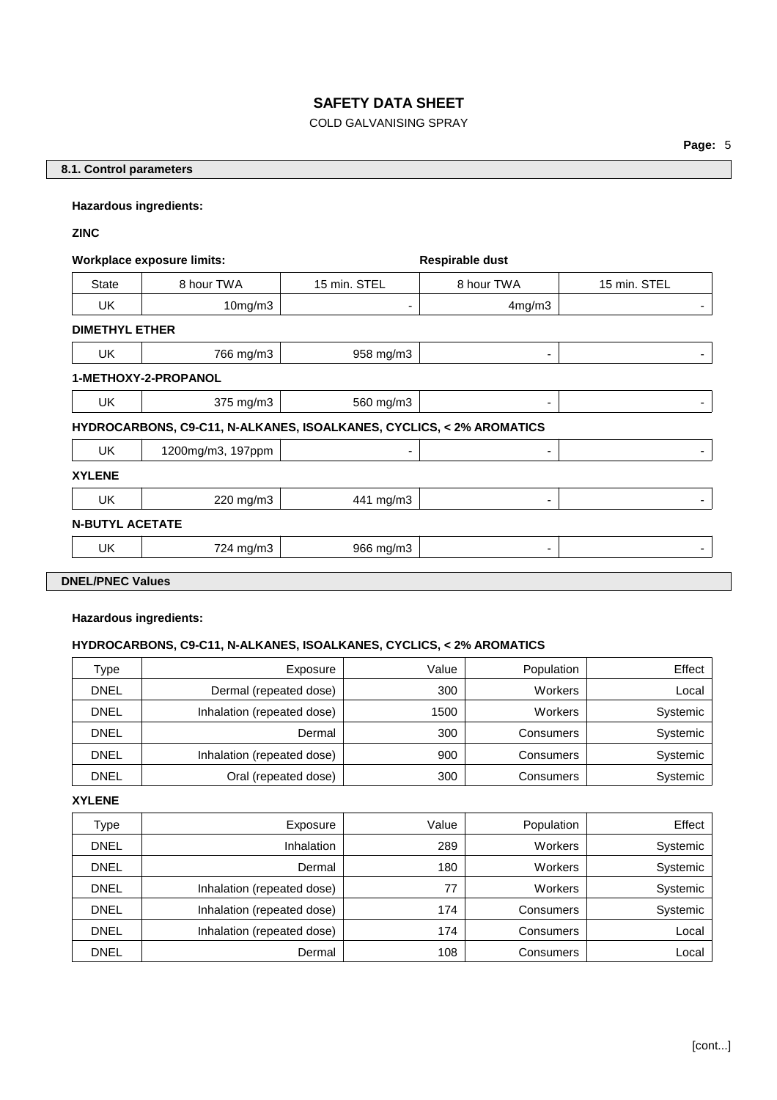# COLD GALVANISING SPRAY

# **8.1. Control parameters**

### **Hazardous ingredients:**

## **ZINC**

| <b>Workplace exposure limits:</b> |                                                                      |              | Respirable dust |              |  |  |  |
|-----------------------------------|----------------------------------------------------------------------|--------------|-----------------|--------------|--|--|--|
| <b>State</b>                      | 8 hour TWA                                                           | 15 min. STEL | 8 hour TWA      | 15 min. STEL |  |  |  |
| UK.                               | 10mg/m3                                                              | ٠            | 4mg/m3          | ٠            |  |  |  |
| <b>DIMETHYL ETHER</b>             |                                                                      |              |                 |              |  |  |  |
| UK.                               | 766 mg/m3                                                            | 958 mg/m3    | -               | ۰            |  |  |  |
|                                   | 1-METHOXY-2-PROPANOL                                                 |              |                 |              |  |  |  |
| UK.                               | 375 mg/m3                                                            | 560 mg/m3    | ۰               | ٠            |  |  |  |
|                                   | HYDROCARBONS, C9-C11, N-ALKANES, ISOALKANES, CYCLICS, < 2% AROMATICS |              |                 |              |  |  |  |
| UK.                               | 1200mg/m3, 197ppm                                                    | ۰            | ۰               |              |  |  |  |
| <b>XYLENE</b>                     |                                                                      |              |                 |              |  |  |  |
| UK.                               | 220 mg/m3                                                            | 441 mg/m3    | -               | ۰            |  |  |  |
|                                   | <b>N-BUTYL ACETATE</b>                                               |              |                 |              |  |  |  |
| UK.                               | 724 mg/m3                                                            | 966 mg/m3    | ۰               | ۰            |  |  |  |
| <b>DNEL/PNEC Values</b>           |                                                                      |              |                 |              |  |  |  |

# **Hazardous ingredients:**

# **HYDROCARBONS, C9-C11, N-ALKANES, ISOALKANES, CYCLICS, < 2% AROMATICS**

| Type        | Exposure                   | Value | Population | Effect   |
|-------------|----------------------------|-------|------------|----------|
| <b>DNEL</b> | Dermal (repeated dose)     | 300   | Workers    | Local    |
| <b>DNEL</b> | Inhalation (repeated dose) | 1500  | Workers    | Systemic |
| DNEL        | Dermal                     | 300   | Consumers  | Systemic |
| <b>DNEL</b> | Inhalation (repeated dose) | 900   | Consumers  | Systemic |
| <b>DNEL</b> | Oral (repeated dose)       | 300   | Consumers  | Systemic |

## **XYLENE**

| Type        | Exposure                   | Value | Population | Effect   |
|-------------|----------------------------|-------|------------|----------|
| <b>DNEL</b> | Inhalation                 | 289   | Workers    | Systemic |
| <b>DNEL</b> | Dermal                     | 180   | Workers    | Systemic |
| <b>DNEL</b> | Inhalation (repeated dose) | 77    | Workers    | Systemic |
| <b>DNEL</b> | Inhalation (repeated dose) | 174   | Consumers  | Systemic |
| <b>DNEL</b> | Inhalation (repeated dose) | 174   | Consumers  | Local    |
| <b>DNEL</b> | Dermal                     | 108   | Consumers  | Local    |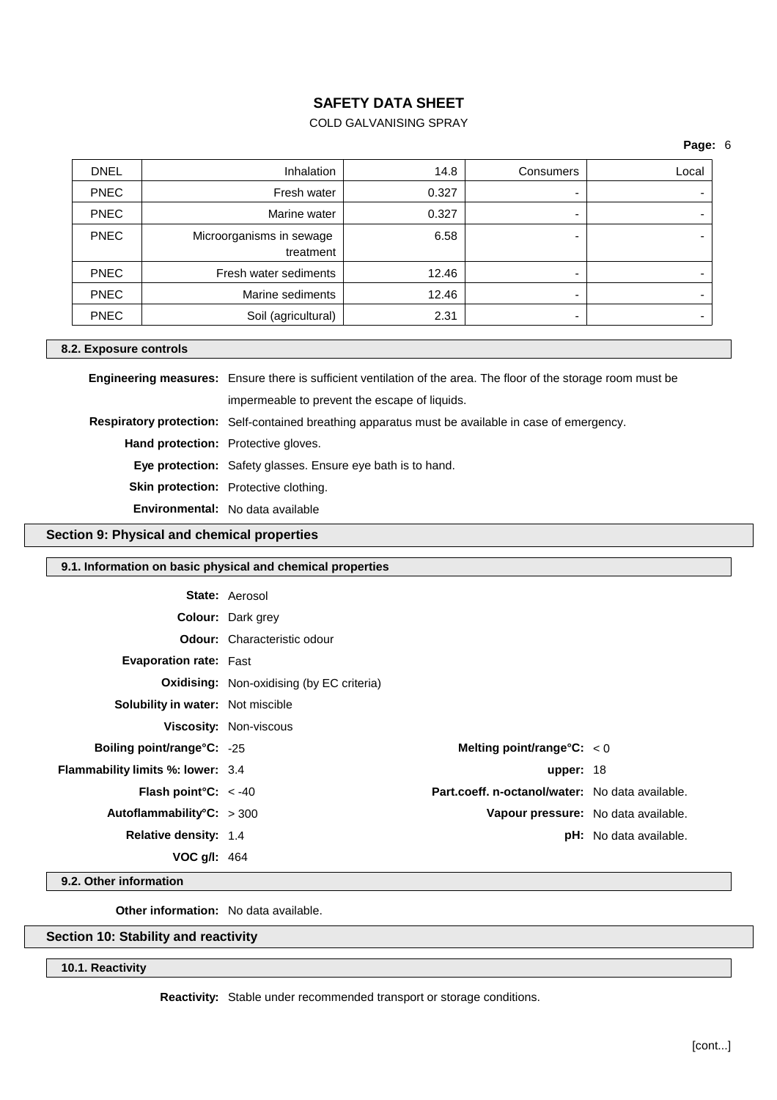# COLD GALVANISING SPRAY

### **Page:** 6

| <b>DNEL</b> | <b>Inhalation</b>                     | 14.8  | Consumers | Local |
|-------------|---------------------------------------|-------|-----------|-------|
| <b>PNEC</b> | Fresh water                           | 0.327 |           |       |
| <b>PNEC</b> | Marine water                          | 0.327 |           |       |
| <b>PNEC</b> | Microorganisms in sewage<br>treatment | 6.58  |           |       |
| <b>PNEC</b> | Fresh water sediments                 | 12.46 |           |       |
| <b>PNEC</b> | Marine sediments                      | 12.46 |           |       |
| <b>PNEC</b> | Soil (agricultural)                   | 2.31  |           |       |

### **8.2. Exposure controls**

**Engineering measures:** Ensure there is sufficient ventilation of the area. The floor of the storage room must be impermeable to prevent the escape of liquids. **Respiratory protection:** Self-contained breathing apparatus must be available in case of emergency. **Hand protection:** Protective gloves. **Eye protection:** Safety glasses. Ensure eye bath is to hand. **Skin protection:** Protective clothing. **Environmental:** No data available

## **Section 9: Physical and chemical properties**

### **9.1. Information on basic physical and chemical properties**

|                                          | <b>State: Aerosol</b>                            |                                                 |                               |
|------------------------------------------|--------------------------------------------------|-------------------------------------------------|-------------------------------|
|                                          | <b>Colour:</b> Dark grey                         |                                                 |                               |
|                                          | <b>Odour:</b> Characteristic odour               |                                                 |                               |
| <b>Evaporation rate: Fast</b>            |                                                  |                                                 |                               |
|                                          | <b>Oxidising:</b> Non-oxidising (by EC criteria) |                                                 |                               |
| Solubility in water: Not miscible        |                                                  |                                                 |                               |
|                                          | <b>Viscosity: Non-viscous</b>                    |                                                 |                               |
| <b>Boiling point/range°C: -25</b>        |                                                  | Melting point/range°C: $< 0$                    |                               |
| <b>Flammability limits %: lower: 3.4</b> |                                                  | upper: $18$                                     |                               |
| <b>Flash point °C:</b> $\lt$ -40         |                                                  | Part.coeff. n-octanol/water: No data available. |                               |
| Autoflammability°C: $>300$               |                                                  | Vapour pressure: No data available.             |                               |
| <b>Relative density: 1.4</b>             |                                                  |                                                 | <b>pH:</b> No data available. |
| <b>VOC g/l:</b> $464$                    |                                                  |                                                 |                               |

**9.2. Other information**

**Other information:** No data available.

# **Section 10: Stability and reactivity**

### **10.1. Reactivity**

**Reactivity:** Stable under recommended transport or storage conditions.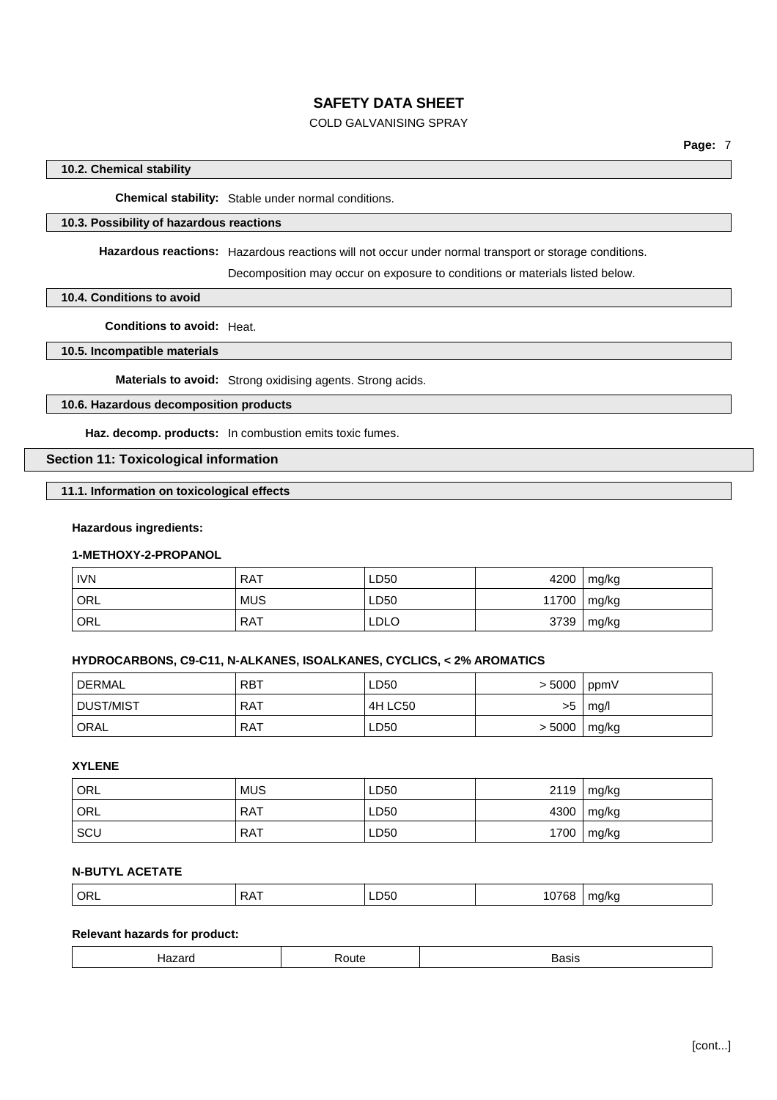# COLD GALVANISING SPRAY

## **10.2. Chemical stability**

**Chemical stability:** Stable under normal conditions.

# **10.3. Possibility of hazardous reactions**

**Hazardous reactions:** Hazardous reactions will not occur under normal transport or storage conditions.

Decomposition may occur on exposure to conditions or materials listed below.

### **10.4. Conditions to avoid**

**Conditions to avoid:** Heat.

### **10.5. Incompatible materials**

**Materials to avoid:** Strong oxidising agents. Strong acids.

## **10.6. Hazardous decomposition products**

**Haz. decomp. products:** In combustion emits toxic fumes.

# **Section 11: Toxicological information**

## **11.1. Information on toxicological effects**

### **Hazardous ingredients:**

# **1-METHOXY-2-PROPANOL**

| <b>IVN</b> | <b>RAT</b> | LD50        | 4200  | mg/kg        |
|------------|------------|-------------|-------|--------------|
| ' ORL      | <b>MUS</b> | LD50        | 11700 | mg/kg        |
| ORL        | <b>RAT</b> | <b>LDLO</b> | 3739  | $\mid$ mg/kg |

### **HYDROCARBONS, C9-C11, N-ALKANES, ISOALKANES, CYCLICS, < 2% AROMATICS**

| DERMAL    | <b>RBT</b> | LD50    | > 5000 | ppmV  |
|-----------|------------|---------|--------|-------|
| DUST/MIST | <b>RAT</b> | 4H LC50 | >5     | mq/l  |
| ' ORAL    | RAT        | LD50    | > 5000 | mg/kg |

# **XYLENE**

| <sup>'</sup> ORL | <b>MUS</b> | LD50 | 2119 | mg/kg |
|------------------|------------|------|------|-------|
| <sup>1</sup> ORL | <b>RAT</b> | LD50 | 4300 | mg/kg |
| <b>SCU</b>       | <b>RAT</b> | LD50 | 1700 | mg/kg |

# **N-BUTYL ACETATE**

| ہدد<br>$\cup$ | $\Lambda$<br>$\mathbf{v}$ | ハし<br>$- - -$ | .oc<br>. | ma/ka<br>. |
|---------------|---------------------------|---------------|----------|------------|
|               |                           |               |          |            |

# **Relevant hazards for product:**

| -<br>,,,,,<br>$\tilde{\phantom{a}}$<br>טוס |  |
|--------------------------------------------|--|
|--------------------------------------------|--|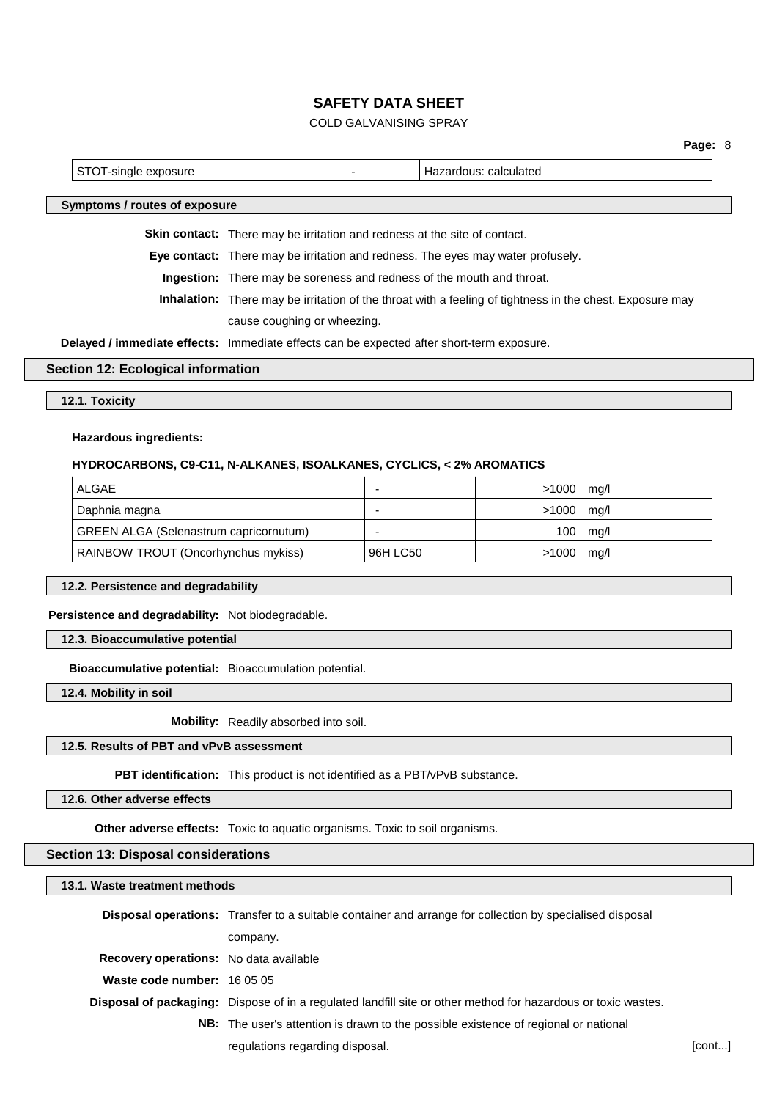# COLD GALVANISING SPRAY

|  |                                                                                           |  |                                                                                  |                                                                                                                 | Page: 8 |
|--|-------------------------------------------------------------------------------------------|--|----------------------------------------------------------------------------------|-----------------------------------------------------------------------------------------------------------------|---------|
|  | STOT-single exposure                                                                      |  |                                                                                  | Hazardous: calculated                                                                                           |         |
|  | Symptoms / routes of exposure                                                             |  |                                                                                  |                                                                                                                 |         |
|  |                                                                                           |  | <b>Skin contact:</b> There may be irritation and redness at the site of contact. |                                                                                                                 |         |
|  |                                                                                           |  |                                                                                  | <b>Eye contact:</b> There may be irritation and redness. The eyes may water profusely.                          |         |
|  |                                                                                           |  | <b>Ingestion:</b> There may be soreness and redness of the mouth and throat.     |                                                                                                                 |         |
|  |                                                                                           |  |                                                                                  | <b>Inhalation:</b> There may be irritation of the throat with a feeling of tightness in the chest. Exposure may |         |
|  |                                                                                           |  | cause coughing or wheezing.                                                      |                                                                                                                 |         |
|  | Delayed / immediate effects: Immediate effects can be expected after short-term exposure. |  |                                                                                  |                                                                                                                 |         |
|  | Section 12: Ecological information                                                        |  |                                                                                  |                                                                                                                 |         |

### **Section 12: Ecological information**

**12.1. Toxicity**

### **Hazardous ingredients:**

### **HYDROCARBONS, C9-C11, N-ALKANES, ISOALKANES, CYCLICS, < 2% AROMATICS**

| ALGAE                                         | -        | >1000 | mg/l |
|-----------------------------------------------|----------|-------|------|
| Daphnia magna                                 | -        | >1000 | mq/l |
| <b>GREEN ALGA (Selenastrum capricornutum)</b> | -        | 100   | mq/l |
| RAINBOW TROUT (Oncorhynchus mykiss)           | 96H LC50 | >1000 | mg/l |

## **12.2. Persistence and degradability**

**Persistence and degradability:** Not biodegradable.

**12.3. Bioaccumulative potential**

**Bioaccumulative potential:** Bioaccumulation potential.

**12.4. Mobility in soil**

**Mobility:** Readily absorbed into soil.

# **12.5. Results of PBT and vPvB assessment**

**PBT identification:** This product is not identified as a PBT/vPvB substance.

**12.6. Other adverse effects**

**Other adverse effects:** Toxic to aquatic organisms. Toxic to soil organisms.

# **Section 13: Disposal considerations**

### **13.1. Waste treatment methods**

|                                               | <b>Disposal operations:</b> Transfer to a suitable container and arrange for collection by specialised disposal      |        |
|-----------------------------------------------|----------------------------------------------------------------------------------------------------------------------|--------|
|                                               | company.                                                                                                             |        |
| <b>Recovery operations:</b> No data available |                                                                                                                      |        |
| <b>Waste code number:</b> $160505$            |                                                                                                                      |        |
|                                               | <b>Disposal of packaging:</b> Dispose of in a regulated landfill site or other method for hazardous or toxic wastes. |        |
|                                               | <b>NB:</b> The user's attention is drawn to the possible existence of regional or national                           |        |
|                                               | regulations regarding disposal.                                                                                      | [cont] |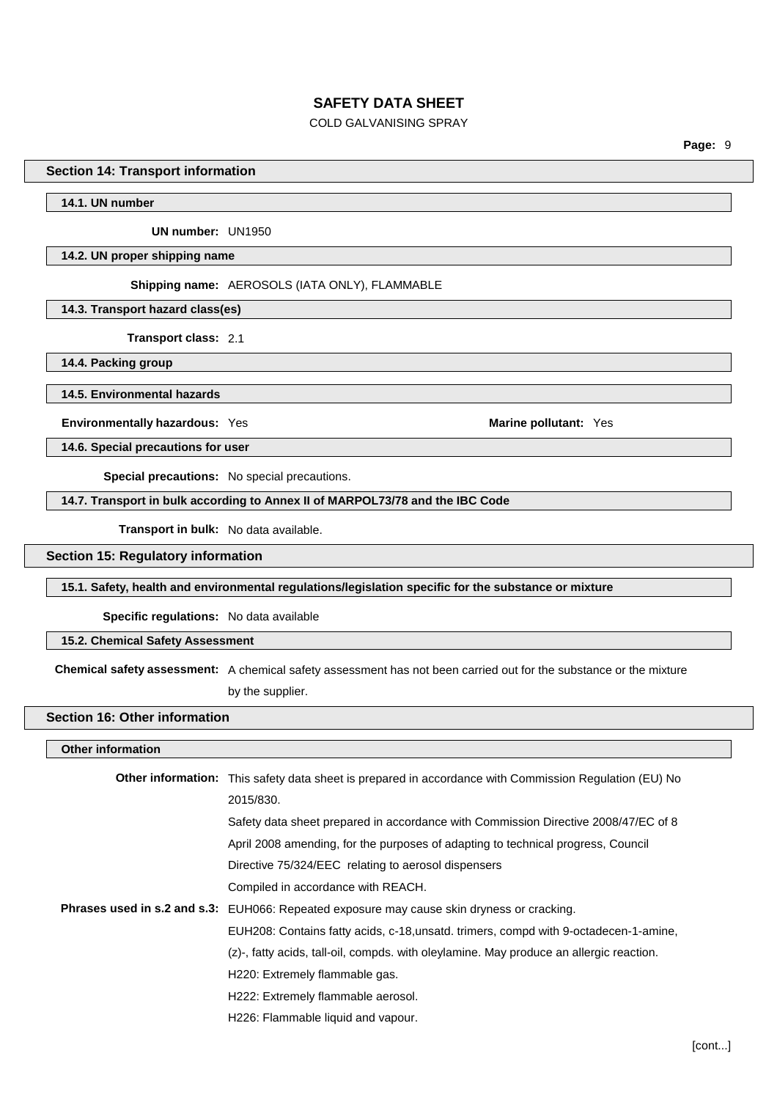## COLD GALVANISING SPRAY

**Page:** 9

## **Section 14: Transport information**

**14.1. UN number**

**UN number:** UN1950

#### **14.2. UN proper shipping name**

**Shipping name:** AEROSOLS (IATA ONLY), FLAMMABLE

**14.3. Transport hazard class(es)**

**Transport class:** 2.1

**14.4. Packing group**

**14.5. Environmental hazards**

**Environmentally hazardous:** Yes **Marine Marine Marine Marine Marine Marine Marine Marine Marine Marine Marine Marine Marine Marine Marine Marine Marine Marine Marine Marine Marine**

**14.6. Special precautions for user**

**Special precautions:** No special precautions.

## **14.7. Transport in bulk according to Annex II of MARPOL73/78 and the IBC Code**

**Transport in bulk:** No data available.

## **Section 15: Regulatory information**

**15.1. Safety, health and environmental regulations/legislation specific for the substance or mixture**

**Specific regulations:** No data available

### **15.2. Chemical Safety Assessment**

**Chemical safety assessment:** A chemical safety assessment has not been carried out for the substance or the mixture by the supplier.

## **Section 16: Other information**

#### **Other information**

| <b>Other information:</b> This safety data sheet is prepared in accordance with Commission Regulation (EU) No |
|---------------------------------------------------------------------------------------------------------------|
| 2015/830.                                                                                                     |
| Safety data sheet prepared in accordance with Commission Directive 2008/47/EC of 8                            |
| April 2008 amending, for the purposes of adapting to technical progress, Council                              |
| Directive 75/324/EEC relating to aerosol dispensers                                                           |
| Compiled in accordance with REACH.                                                                            |
| Phrases used in s.2 and s.3: EUH066: Repeated exposure may cause skin dryness or cracking.                    |
| EUH208: Contains fatty acids, c-18, unsatd. trimers, compd with 9-octadecen-1-amine,                          |
| (z)-, fatty acids, tall-oil, compds, with oleylamine. May produce an allergic reaction.                       |
| H220: Extremely flammable gas.                                                                                |
| H222: Extremely flammable aerosol.                                                                            |
| H226: Flammable liquid and vapour.                                                                            |